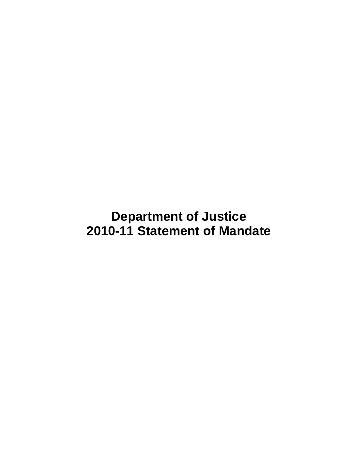**Department of Justice 2010-11 Statement of Mandate**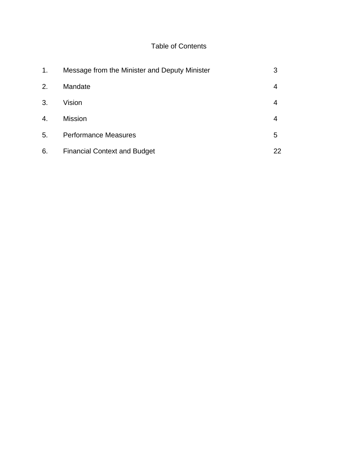# Table of Contents

| 1. | Message from the Minister and Deputy Minister | 3  |
|----|-----------------------------------------------|----|
| 2. | Mandate                                       | 4  |
| 3. | Vision                                        | 4  |
| 4. | <b>Mission</b>                                | 4  |
| 5. | <b>Performance Measures</b>                   | 5  |
| 6. | <b>Financial Context and Budget</b>           | 22 |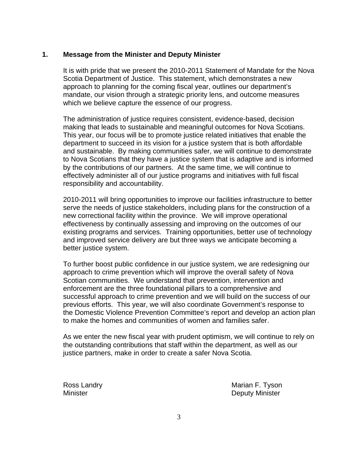# **1. Message from the Minister and Deputy Minister**

It is with pride that we present the 2010-2011 Statement of Mandate for the Nova Scotia Department of Justice. This statement, which demonstrates a new approach to planning for the coming fiscal year, outlines our department's mandate, our vision through a strategic priority lens, and outcome measures which we believe capture the essence of our progress.

The administration of justice requires consistent, evidence-based, decision making that leads to sustainable and meaningful outcomes for Nova Scotians. This year, our focus will be to promote justice related initiatives that enable the department to succeed in its vision for a justice system that is both affordable and sustainable. By making communities safer, we will continue to demonstrate to Nova Scotians that they have a justice system that is adaptive and is informed by the contributions of our partners. At the same time, we will continue to effectively administer all of our justice programs and initiatives with full fiscal responsibility and accountability.

2010-2011 will bring opportunities to improve our facilities infrastructure to better serve the needs of justice stakeholders, including plans for the construction of a new correctional facility within the province. We will improve operational effectiveness by continually assessing and improving on the outcomes of our existing programs and services. Training opportunities, better use of technology and improved service delivery are but three ways we anticipate becoming a better justice system.

To further boost public confidence in our justice system, we are redesigning our approach to crime prevention which will improve the overall safety of Nova Scotian communities. We understand that prevention, intervention and enforcement are the three foundational pillars to a comprehensive and successful approach to crime prevention and we will build on the success of our previous efforts. This year, we will also coordinate Government's response to the Domestic Violence Prevention Committee's report and develop an action plan to make the homes and communities of women and families safer.

As we enter the new fiscal year with prudent optimism, we will continue to rely on the outstanding contributions that staff within the department, as well as our justice partners, make in order to create a safer Nova Scotia.

Ross Landry **Marian F. Tyson** Marian F. Tyson Minister **Deputy Minister**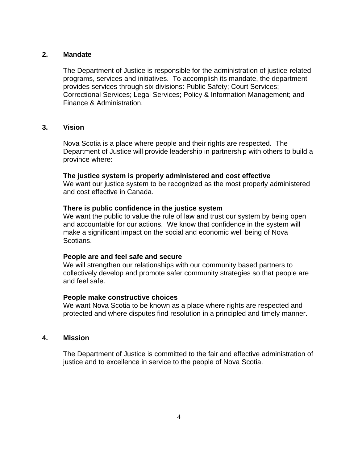#### **2. Mandate**

The Department of Justice is responsible for the administration of justice-related programs, services and initiatives. To accomplish its mandate, the department provides services through six divisions: Public Safety; Court Services; Correctional Services; Legal Services; Policy & Information Management; and Finance & Administration.

#### **3. Vision**

Nova Scotia is a place where people and their rights are respected. The Department of Justice will provide leadership in partnership with others to build a province where:

#### **The justice system is properly administered and cost effective**

We want our justice system to be recognized as the most properly administered and cost effective in Canada.

#### **There is public confidence in the justice system**

We want the public to value the rule of law and trust our system by being open and accountable for our actions. We know that confidence in the system will make a significant impact on the social and economic well being of Nova Scotians.

### **People are and feel safe and secure**

We will strengthen our relationships with our community based partners to collectively develop and promote safer community strategies so that people are and feel safe.

#### **People make constructive choices**

We want Nova Scotia to be known as a place where rights are respected and protected and where disputes find resolution in a principled and timely manner.

# **4. Mission**

The Department of Justice is committed to the fair and effective administration of justice and to excellence in service to the people of Nova Scotia.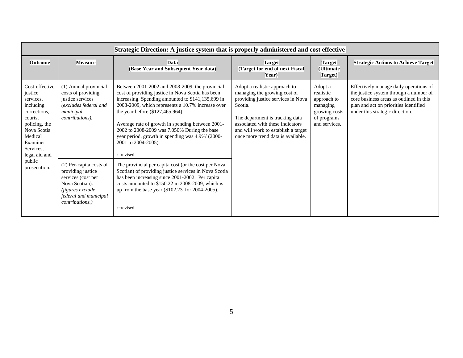|                                                                                                                                                                     | Strategic Direction: A justice system that is properly administered and cost effective                                                                       |                                                                                                                                                                                                                                                                                                                                                                                                                                                |                                                                                                                                                                                                                                                                    |                                                                                                  |                                                                                                                                                                                                         |  |  |
|---------------------------------------------------------------------------------------------------------------------------------------------------------------------|--------------------------------------------------------------------------------------------------------------------------------------------------------------|------------------------------------------------------------------------------------------------------------------------------------------------------------------------------------------------------------------------------------------------------------------------------------------------------------------------------------------------------------------------------------------------------------------------------------------------|--------------------------------------------------------------------------------------------------------------------------------------------------------------------------------------------------------------------------------------------------------------------|--------------------------------------------------------------------------------------------------|---------------------------------------------------------------------------------------------------------------------------------------------------------------------------------------------------------|--|--|
| <b>Outcome</b>                                                                                                                                                      | <b>Measure</b>                                                                                                                                               | <b>Data</b><br>(Base Year and Subsequent Year data)                                                                                                                                                                                                                                                                                                                                                                                            | <b>Target</b><br>(Target for end of next Fiscal<br>Year)                                                                                                                                                                                                           | <b>Target</b><br>(Ultimate<br>Target)                                                            | <b>Strategic Actions to Achieve Target</b>                                                                                                                                                              |  |  |
| Cost-effective<br>justice<br>services,<br>including<br>corrections.<br>courts.<br>policing, the<br>Nova Scotia<br>Medical<br>Examiner<br>Services,<br>legal aid and | (1) Annual provincial<br>costs of providing<br>justice services<br>(excludes federal and<br>municipal<br>contributions).                                     | Between 2001-2002 and 2008-2009, the provincial<br>cost of providing justice in Nova Scotia has been<br>increasing. Spending amounted to \$141,135,699 in<br>2008-2009, which represents a 10.7% increase over<br>the year before (\$127,465,964).<br>Average rate of growth in spending between 2001-<br>2002 to 2008-2009 was 7.050% During the base<br>year period, growth in spending was 4.9%" (2000-<br>2001 to 2004-2005).<br>r=revised | Adopt a realistic approach to<br>managing the growing cost of<br>providing justice services in Nova<br>Scotia.<br>The department is tracking data<br>associated with these indicators<br>and will work to establish a target<br>once more trend data is available. | Adopt a<br>realistic<br>approach to<br>managing<br>growing costs<br>of programs<br>and services. | Effectively manage daily operations of<br>the justice system through a number of<br>core business areas as outlined in this<br>plan and act on priorities identified<br>under this strategic direction. |  |  |
| public<br>prosecution.                                                                                                                                              | (2) Per-capita costs of<br>providing justice<br>services (cost per<br>Nova Scotian).<br>(figures exclude<br>federal and municipal<br><i>contributions.</i> ) | The provincial per capita cost (or the cost per Nova<br>Scotian) of providing justice services in Nova Scotia<br>has been increasing since 2001-2002. Per capita<br>costs amounted to \$150.22 in 2008-2009, which is<br>up from the base year (\$102.23 <sup>r</sup> for 2004-2005).<br>r=revised                                                                                                                                             |                                                                                                                                                                                                                                                                    |                                                                                                  |                                                                                                                                                                                                         |  |  |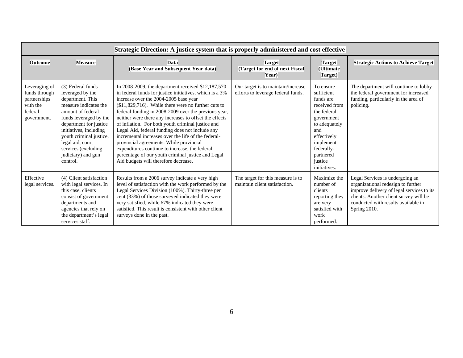|                                                                                      | Strategic Direction: A justice system that is properly administered and cost effective                                                                                                                                                                                                        |                                                                                                                                                                                                                                                                                                                                                                                                                                                                                                                                                                                                                                                                                             |                                                                          |                                                                                                                                                                                              |                                                                                                                                                                                                                     |  |  |  |
|--------------------------------------------------------------------------------------|-----------------------------------------------------------------------------------------------------------------------------------------------------------------------------------------------------------------------------------------------------------------------------------------------|---------------------------------------------------------------------------------------------------------------------------------------------------------------------------------------------------------------------------------------------------------------------------------------------------------------------------------------------------------------------------------------------------------------------------------------------------------------------------------------------------------------------------------------------------------------------------------------------------------------------------------------------------------------------------------------------|--------------------------------------------------------------------------|----------------------------------------------------------------------------------------------------------------------------------------------------------------------------------------------|---------------------------------------------------------------------------------------------------------------------------------------------------------------------------------------------------------------------|--|--|--|
| <b>Outcome</b>                                                                       | <b>Measure</b>                                                                                                                                                                                                                                                                                | <b>Data</b><br>(Base Year and Subsequent Year data)                                                                                                                                                                                                                                                                                                                                                                                                                                                                                                                                                                                                                                         | <b>Target</b><br>(Target for end of next Fiscal<br>Year)                 | <b>Target</b><br>(Ultimate<br>Target)                                                                                                                                                        | <b>Strategic Actions to Achieve Target</b>                                                                                                                                                                          |  |  |  |
| Leveraging of<br>funds through<br>partnerships<br>with the<br>federal<br>government. | (3) Federal funds<br>leveraged by the<br>department. This<br>measure indicates the<br>amount of federal<br>funds leveraged by the<br>department for justice<br>initiatives, including<br>youth criminal justice,<br>legal aid, court<br>services (excluding<br>judiciary) and gun<br>control. | In 2008-2009, the department received \$12,187,570<br>in federal funds for justice initiatives, which is a 3%<br>increase over the 2004-2005 base year<br>$($11,829,716)$ . While there were no further cuts to<br>federal funding in 2008-2009 over the previous year,<br>neither were there any increases to offset the effects<br>of inflation. For both youth criminal justice and<br>Legal Aid, federal funding does not include any<br>incremental increases over the life of the federal-<br>provincial agreements. While provincial<br>expenditures continue to increase, the federal<br>percentage of our youth criminal justice and Legal<br>Aid budgets will therefore decrease. | Our target is to maintain/increase<br>efforts to leverage federal funds. | To ensure<br>sufficient<br>funds are<br>received from<br>the federal<br>government<br>to adequately<br>and<br>effectively<br>implement<br>federally-<br>partnered<br>justice<br>initiatives. | The department will continue to lobby<br>the federal government for increased<br>funding, particularly in the area of<br>policing.                                                                                  |  |  |  |
| Effective<br>legal services.                                                         | (4) Client satisfaction<br>with legal services. In<br>this case, clients<br>consist of government<br>departments and<br>agencies that rely on<br>the department's legal<br>services staff.                                                                                                    | Results from a 2006 survey indicate a very high<br>level of satisfaction with the work performed by the<br>Legal Services Division (100%). Thirty-three per<br>cent (33%) of those surveyed indicated they were<br>very satisfied, while 67% indicated they were<br>satisfied. This result is consistent with other client<br>surveys done in the past.                                                                                                                                                                                                                                                                                                                                     | The target for this measure is to<br>maintain client satisfaction.       | Maximize the<br>number of<br>clients<br>reporting they<br>are very<br>satisfied with<br>work<br>performed.                                                                                   | Legal Services is undergoing an<br>organizational redesign to further<br>improve delivery of legal services to its<br>clients. Another client survey will be<br>conducted with results available in<br>Spring 2010. |  |  |  |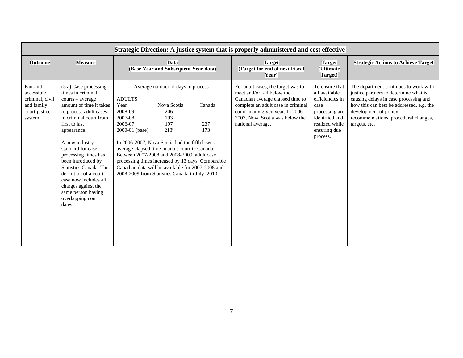| <b>Outcome</b>                                                                      | <b>Measure</b>                                                                                                                                                                                                                                                                                                                                                                                                             | <b>Data</b><br>(Base Year and Subsequent Year data)                                                                                                                                                                                                                                                                                                                                                                                                                          |                      | <b>Target</b><br>(Target for end of next Fiscal<br>Year)                                                                                                                                                                                | <b>Target</b><br>(Ultimate<br>Target)                                                                                                        | <b>Strategic Actions to Achieve Target</b>                                                                                                                                                                                                            |
|-------------------------------------------------------------------------------------|----------------------------------------------------------------------------------------------------------------------------------------------------------------------------------------------------------------------------------------------------------------------------------------------------------------------------------------------------------------------------------------------------------------------------|------------------------------------------------------------------------------------------------------------------------------------------------------------------------------------------------------------------------------------------------------------------------------------------------------------------------------------------------------------------------------------------------------------------------------------------------------------------------------|----------------------|-----------------------------------------------------------------------------------------------------------------------------------------------------------------------------------------------------------------------------------------|----------------------------------------------------------------------------------------------------------------------------------------------|-------------------------------------------------------------------------------------------------------------------------------------------------------------------------------------------------------------------------------------------------------|
| Fair and<br>accessible<br>criminal, civil<br>and family<br>court justice<br>system. | (5 a) Case processing<br>times in criminal<br>courts – average<br>amount of time it takes<br>to process adult cases<br>in criminal court from<br>first to last<br>appearance.<br>A new industry<br>standard for case<br>processing times has<br>been introduced by<br>Statistics Canada. The<br>definition of a court<br>case now includes all<br>charges against the<br>same person having<br>overlapping court<br>dates. | Average number of days to process<br><b>ADULTS</b><br>Year<br>Nova Scotia<br>2008-09<br>206<br>2007-08<br>193<br>2006-07<br>197<br>$213^r$<br>2000-01 (base)<br>In 2006-2007, Nova Scotia had the fifth lowest<br>average elapsed time in adult court in Canada.<br>Between 2007-2008 and 2008-2009, adult case<br>processing times increased by 13 days. Comparable<br>Canadian data will be available for 2007-2008 and<br>2008-2009 from Statistics Canada in July, 2010. | Canada<br>237<br>173 | For adult cases, the target was to<br>meet and/or fall below the<br>Canadian average elapsed time to<br>complete an adult case in criminal<br>court in any given year. In 2006-<br>2007, Nova Scotia was below the<br>national average. | To ensure that<br>all available<br>efficiencies in<br>case<br>processing are<br>identified and<br>realized while<br>ensuring due<br>process. | The department continues to work with<br>justice partners to determine what is<br>causing delays in case processing and<br>how this can best be addressed, e.g. the<br>development of policy<br>recommendations, procedural changes,<br>targets, etc. |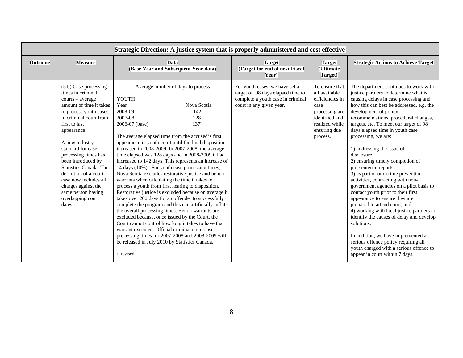|                |                                                                                                                                                                                                                                                                                                                                                                                                                            | Strategic Direction: A justice system that is properly administered and cost effective                                                                                                                                                                                                                                                                                                                                                                                                                                                                                                                                                                                                                                                                                                                                                                                                                                                                                                                                                                                                                                                                      |                                                                                                                                      |                                                                                                                                              |                                                                                                                                                                                                                                                                                                                                                                                                                                                                                                                                                                                                                                                                                                                                                                                                                                                                                                                                                    |
|----------------|----------------------------------------------------------------------------------------------------------------------------------------------------------------------------------------------------------------------------------------------------------------------------------------------------------------------------------------------------------------------------------------------------------------------------|-------------------------------------------------------------------------------------------------------------------------------------------------------------------------------------------------------------------------------------------------------------------------------------------------------------------------------------------------------------------------------------------------------------------------------------------------------------------------------------------------------------------------------------------------------------------------------------------------------------------------------------------------------------------------------------------------------------------------------------------------------------------------------------------------------------------------------------------------------------------------------------------------------------------------------------------------------------------------------------------------------------------------------------------------------------------------------------------------------------------------------------------------------------|--------------------------------------------------------------------------------------------------------------------------------------|----------------------------------------------------------------------------------------------------------------------------------------------|----------------------------------------------------------------------------------------------------------------------------------------------------------------------------------------------------------------------------------------------------------------------------------------------------------------------------------------------------------------------------------------------------------------------------------------------------------------------------------------------------------------------------------------------------------------------------------------------------------------------------------------------------------------------------------------------------------------------------------------------------------------------------------------------------------------------------------------------------------------------------------------------------------------------------------------------------|
| <b>Outcome</b> | <b>Measure</b>                                                                                                                                                                                                                                                                                                                                                                                                             | <b>Data</b><br>(Base Year and Subsequent Year data)                                                                                                                                                                                                                                                                                                                                                                                                                                                                                                                                                                                                                                                                                                                                                                                                                                                                                                                                                                                                                                                                                                         | <b>Target</b><br>(Target for end of next Fiscal<br>Year)                                                                             | <b>Target</b><br>(Ultimate<br>Target)                                                                                                        | <b>Strategic Actions to Achieve Target</b>                                                                                                                                                                                                                                                                                                                                                                                                                                                                                                                                                                                                                                                                                                                                                                                                                                                                                                         |
|                | (5 b) Case processing<br>times in criminal<br>courts - average<br>amount of time it takes<br>to process youth cases<br>in criminal court from<br>first to last<br>appearance.<br>A new industry<br>standard for case<br>processing times has<br>been introduced by<br>Statistics Canada. The<br>definition of a court<br>case now includes all<br>charges against the<br>same person having<br>overlapping court<br>dates. | Average number of days to process<br>YOUTH<br>Year<br>Nova Scotia<br>2008-09<br>142<br>2007-08<br>128<br>2006-07 (base)<br>137 <sup>r</sup><br>The average elapsed time from the accused's first<br>appearance in youth court until the final disposition<br>increased in 2008-2009. In 2007-2008, the average<br>time elapsed was 128 days and in 2008-2009 it had<br>increased to 142 days. This represents an increase of<br>14 days (10%). For youth case processing times,<br>Nova Scotia excludes restorative justice and bench<br>warrants when calculating the time it takes to<br>process a youth from first hearing to disposition.<br>Restorative justice is excluded because on average it<br>takes over 200 days for an offender to successfully<br>complete the program and this can artificially inflate<br>the overall processing times. Bench warrants are<br>excluded because, once issued by the Court, the<br>Court cannot control how long it takes to have that<br>warrant executed. Official criminal court case<br>processing times for 2007-2008 and 2008-2009 will<br>be released in July 2010 by Statistics Canada.<br>r=revised | For youth cases, we have set a<br>target of 98 days elapsed time to<br>complete a youth case in criminal<br>court in any given year. | To ensure that<br>all available<br>efficiencies in<br>case<br>processing are<br>identified and<br>realized while<br>ensuring due<br>process. | The department continues to work with<br>justice partners to determine what is<br>causing delays in case processing and<br>how this can best be addressed, e.g. the<br>development of policy<br>recommendations, procedural changes,<br>targets, etc. To meet our target of 98<br>days elapsed time in youth case<br>processing, we are:<br>1) addressing the issue of<br>disclosure,<br>2) ensuring timely completion of<br>pre-sentence reports,<br>3) as part of our crime prevention<br>activities, contracting with non-<br>government agencies on a pilot basis to<br>contact youth prior to their first<br>appearance to ensure they are<br>prepared to attend court, and<br>4) working with local justice partners to<br>identify the causes of delay and develop<br>solutions.<br>In addition, we have implemented a<br>serious offence policy requiring all<br>youth charged with a serious offence to<br>appear in court within 7 days. |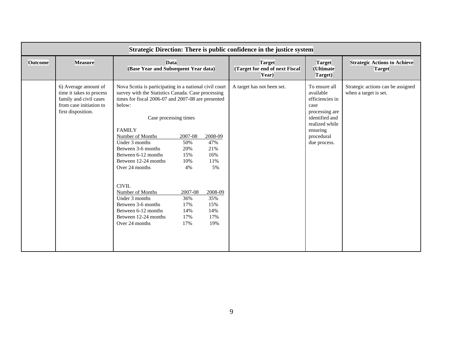|                | Strategic Direction: There is public confidence in the justice system                                                       |                                                                                                                                                                                                                                                                                                                                                                                                                                                                                            |                                                                                         |                                                                                         |                                                          |                                                                                                                                                       |                                                            |
|----------------|-----------------------------------------------------------------------------------------------------------------------------|--------------------------------------------------------------------------------------------------------------------------------------------------------------------------------------------------------------------------------------------------------------------------------------------------------------------------------------------------------------------------------------------------------------------------------------------------------------------------------------------|-----------------------------------------------------------------------------------------|-----------------------------------------------------------------------------------------|----------------------------------------------------------|-------------------------------------------------------------------------------------------------------------------------------------------------------|------------------------------------------------------------|
| <b>Outcome</b> | <b>Measure</b>                                                                                                              | <b>Data</b><br>(Base Year and Subsequent Year data)                                                                                                                                                                                                                                                                                                                                                                                                                                        |                                                                                         |                                                                                         | <b>Target</b><br>(Target for end of next Fiscal<br>Year) | <b>Target</b><br>(Ultimate<br>Target)                                                                                                                 | <b>Strategic Actions to Achieve</b><br><b>Target</b>       |
|                | 6) Average amount of<br>time it takes to process<br>family and civil cases<br>from case initiation to<br>first disposition. | Nova Scotia is participating in a national civil court<br>survey with the Statistics Canada. Case processing<br>times for fiscal 2006-07 and 2007-08 are presented<br>below:<br>Case processing times<br><b>FAMILY</b><br>Number of Months<br>Under 3 months<br>Between 3-6 months<br>Between 6-12 months<br>Between 12-24 months<br>Over 24 months<br>CIVIL.<br>Number of Months<br>Under 3 months<br>Between 3-6 months<br>Between 6-12 months<br>Between 12-24 months<br>Over 24 months | 2007-08<br>50%<br>20%<br>15%<br>10%<br>4%<br>2007-08<br>36%<br>17%<br>14%<br>17%<br>17% | 2008-09<br>47%<br>21%<br>16%<br>11%<br>5%<br>2008-09<br>35%<br>15%<br>14%<br>17%<br>19% | A target has not been set.                               | To ensure all<br>available<br>efficiencies in<br>case<br>processing are<br>identified and<br>realized while<br>ensuring<br>procedural<br>due process. | Strategic actions can be assigned<br>when a target is set. |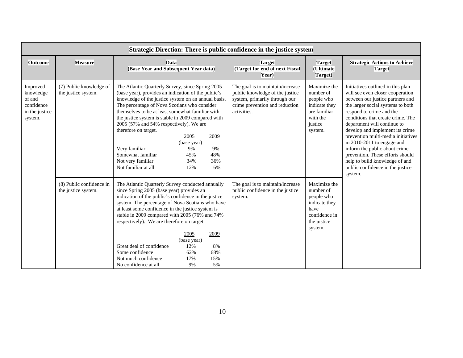|                                                                            | Strategic Direction: There is public confidence in the justice system |                                                                                                                                                                                                                                                                                                                                                                                                                                                                                                                                                                   |                                                                                                                                                       |                                                                                                             |                                                                                                                                                                                                                                                                                                                                                                                                                                                                                                             |  |  |
|----------------------------------------------------------------------------|-----------------------------------------------------------------------|-------------------------------------------------------------------------------------------------------------------------------------------------------------------------------------------------------------------------------------------------------------------------------------------------------------------------------------------------------------------------------------------------------------------------------------------------------------------------------------------------------------------------------------------------------------------|-------------------------------------------------------------------------------------------------------------------------------------------------------|-------------------------------------------------------------------------------------------------------------|-------------------------------------------------------------------------------------------------------------------------------------------------------------------------------------------------------------------------------------------------------------------------------------------------------------------------------------------------------------------------------------------------------------------------------------------------------------------------------------------------------------|--|--|
| <b>Outcome</b>                                                             | <b>Measure</b>                                                        | Data<br>(Base Year and Subsequent Year data)                                                                                                                                                                                                                                                                                                                                                                                                                                                                                                                      | <b>Target</b><br>(Target for end of next Fiscal<br>Year)                                                                                              | <b>Target</b><br>(Ultimate<br>Target)                                                                       | <b>Strategic Actions to Achieve</b><br><b>Target</b>                                                                                                                                                                                                                                                                                                                                                                                                                                                        |  |  |
| Improved<br>knowledge<br>of and<br>confidence<br>in the justice<br>system. | (7) Public knowledge of<br>the justice system.                        | The Atlantic Quarterly Survey, since Spring 2005<br>(base year), provides an indication of the public's<br>knowledge of the justice system on an annual basis.<br>The percentage of Nova Scotians who consider<br>themselves to be at least somewhat familiar with<br>the justice system is stable in 2009 compared with<br>2005 (57% and 54% respectively). We are<br>therefore on target.<br>2005<br>2009<br>(base year)<br>Very familiar<br>9%<br>9%<br>Somewhat familiar<br>45%<br>48%<br>Not very familiar<br>36%<br>34%<br>Not familiar at all<br>12%<br>6% | The goal is to maintain/increase<br>public knowledge of the justice<br>system, primarily through our<br>crime prevention and reduction<br>activities. | Maximize the<br>number of<br>people who<br>indicate they<br>are familiar<br>with the<br>justice<br>system.  | Initiatives outlined in this plan<br>will see even closer cooperation<br>between our justice partners and<br>the larger social systems to both<br>respond to crime and the<br>conditions that create crime. The<br>department will continue to<br>develop and implement its crime<br>prevention multi-media initiatives<br>in 2010-2011 to engage and<br>inform the public about crime<br>prevention. These efforts should<br>help to build knowledge of and<br>public confidence in the justice<br>system. |  |  |
|                                                                            | (8) Public confidence in<br>the justice system.                       | The Atlantic Quarterly Survey conducted annually<br>since Spring 2005 (base year) provides an<br>indication of the public's confidence in the justice<br>system. The percentage of Nova Scotians who have<br>at least some confidence in the justice system is<br>stable in 2009 compared with 2005 (76% and 74%<br>respectively). We are therefore on target.<br>2005<br>2009<br>(base year)<br>Great deal of confidence<br>12%<br>8%<br>Some confidence<br>62%<br>68%<br>Not much confidence<br>17%<br>15%<br>No confidence at all<br>9%<br>5%                  | The goal is to maintain/increase<br>public confidence in the justice<br>system.                                                                       | Maximize the<br>number of<br>people who<br>indicate they<br>have<br>confidence in<br>the justice<br>system. |                                                                                                                                                                                                                                                                                                                                                                                                                                                                                                             |  |  |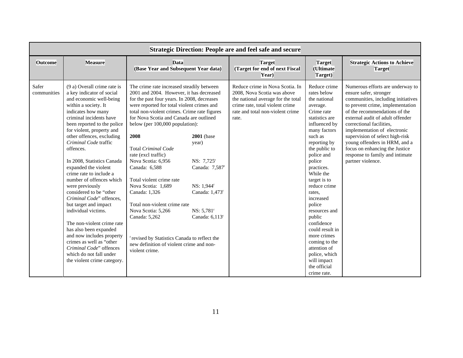|                      | <b>Strategic Direction: People are and feel safe and secure</b>                                                                                                                                                                                                                                                                                                                                                                                                                                                                                                                                                                                                                                                                          |                                                                                                                                                                                                                                                                                                                                                                                                                                                                                                                                                                                                                                                                             |                                                                                                                                                                                                          |                                                                                                                                                                                      |                                                                                                                                                                                                                                                                                                                                                                                                                                                                     |                                                                                                                                                                                                                                                                                                                                                                                                                                     |  |
|----------------------|------------------------------------------------------------------------------------------------------------------------------------------------------------------------------------------------------------------------------------------------------------------------------------------------------------------------------------------------------------------------------------------------------------------------------------------------------------------------------------------------------------------------------------------------------------------------------------------------------------------------------------------------------------------------------------------------------------------------------------------|-----------------------------------------------------------------------------------------------------------------------------------------------------------------------------------------------------------------------------------------------------------------------------------------------------------------------------------------------------------------------------------------------------------------------------------------------------------------------------------------------------------------------------------------------------------------------------------------------------------------------------------------------------------------------------|----------------------------------------------------------------------------------------------------------------------------------------------------------------------------------------------------------|--------------------------------------------------------------------------------------------------------------------------------------------------------------------------------------|---------------------------------------------------------------------------------------------------------------------------------------------------------------------------------------------------------------------------------------------------------------------------------------------------------------------------------------------------------------------------------------------------------------------------------------------------------------------|-------------------------------------------------------------------------------------------------------------------------------------------------------------------------------------------------------------------------------------------------------------------------------------------------------------------------------------------------------------------------------------------------------------------------------------|--|
| <b>Outcome</b>       | <b>Measure</b>                                                                                                                                                                                                                                                                                                                                                                                                                                                                                                                                                                                                                                                                                                                           | <b>Data</b><br>(Base Year and Subsequent Year data)                                                                                                                                                                                                                                                                                                                                                                                                                                                                                                                                                                                                                         |                                                                                                                                                                                                          | <b>Target</b><br>(Target for end of next Fiscal<br>Year)                                                                                                                             | <b>Target</b><br>(Ultimate<br>Target)                                                                                                                                                                                                                                                                                                                                                                                                                               | <b>Strategic Actions to Achieve</b><br><b>Target</b>                                                                                                                                                                                                                                                                                                                                                                                |  |
| Safer<br>communities | (9 a) Overall crime rate is<br>a key indicator of social<br>and economic well-being<br>within a society. It<br>indicates how many<br>criminal incidents have<br>been reported to the police<br>for violent, property and<br>other offences, excluding<br>Criminal Code traffic<br>offences.<br>In 2008, Statistics Canada<br>expanded the violent<br>crime rate to include a<br>number of offences which<br>were previously<br>considered to be "other<br>Criminal Code" offences,<br>but target and impact<br>individual victims.<br>The non-violent crime rate<br>has also been expanded<br>and now includes property<br>crimes as well as "other<br>Criminal Code" offences<br>which do not fall under<br>the violent crime category. | The crime rate increased steadily between<br>2001 and 2004. However, it has decreased<br>for the past four years. In 2008, decreases<br>were reported for total violent crimes and<br>total non-violent crimes. Crime rate figures<br>for Nova Scotia and Canada are outlined<br>below (per 100,000 population):<br>2008<br><b>Total Criminal Code</b><br>rate (excl traffic)<br>Nova Scotia: 6,956<br>Canada: 6,588<br>Total violent crime rate<br>Nova Scotia: 1,689<br>Canada: 1,326<br>Total non-violent crime rate<br>Nova Scotia: 5,266<br>Canada: 5,262<br>revised by Statistics Canada to reflect the<br>new definition of violent crime and non-<br>violent crime. | <b>2001</b> (base<br>year)<br>NS: 7,725 <sup>r</sup><br>Canada: 7,587 <sup>r</sup><br>$NS: 1,944$ <sup>r</sup><br>Canada: 1,473 <sup>r</sup><br>$NS: 5,781$ <sup>r</sup><br>Canada: $6,113$ <sup>r</sup> | Reduce crime in Nova Scotia. In<br>2008, Nova Scotia was above<br>the national average for the total<br>crime rate, total violent crime<br>rate and total non-violent crime<br>rate. | Reduce crime<br>rates below<br>the national<br>average.<br>Crime rate<br>statistics are<br>influenced by<br>many factors<br>such as<br>reporting by<br>the public to<br>police and<br>police<br>practices.<br>While the<br>target is to<br>reduce crime<br>rates,<br>increased<br>police<br>resources and<br>public<br>confidence<br>could result in<br>more crimes<br>coming to the<br>attention of<br>police, which<br>will impact<br>the official<br>crime rate. | Numerous efforts are underway to<br>ensure safer, stronger<br>communities, including initiatives<br>to prevent crime, implementation<br>of the recommendations of the<br>external audit of adult offender<br>correctional facilities,<br>implementation of electronic<br>supervision of select high-risk<br>young offenders in HRM, and a<br>focus on enhancing the Justice<br>response to family and intimate<br>partner violence. |  |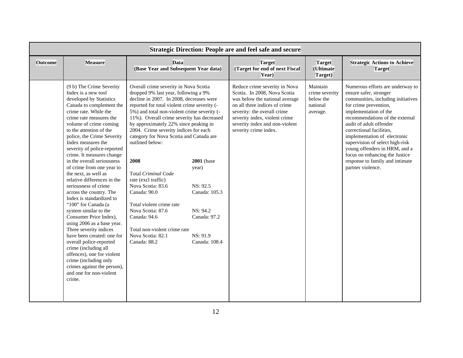|                | <b>Strategic Direction: People are and feel safe and secure</b>                                                                                                                                                                                                                                                                                                                                                                                                                                                                                                                                                                                                                                                                                                                                                                                                                |                                                                                                                                                                                                                                                                                                                                                                                                                                                                                                                                                                                                                                                         |                                                                                                                  |                                                                                                                                                                                                                                                             |                                                                 |                                                                                                                                                                                                                                                                                                                                                                                                                                            |  |
|----------------|--------------------------------------------------------------------------------------------------------------------------------------------------------------------------------------------------------------------------------------------------------------------------------------------------------------------------------------------------------------------------------------------------------------------------------------------------------------------------------------------------------------------------------------------------------------------------------------------------------------------------------------------------------------------------------------------------------------------------------------------------------------------------------------------------------------------------------------------------------------------------------|---------------------------------------------------------------------------------------------------------------------------------------------------------------------------------------------------------------------------------------------------------------------------------------------------------------------------------------------------------------------------------------------------------------------------------------------------------------------------------------------------------------------------------------------------------------------------------------------------------------------------------------------------------|------------------------------------------------------------------------------------------------------------------|-------------------------------------------------------------------------------------------------------------------------------------------------------------------------------------------------------------------------------------------------------------|-----------------------------------------------------------------|--------------------------------------------------------------------------------------------------------------------------------------------------------------------------------------------------------------------------------------------------------------------------------------------------------------------------------------------------------------------------------------------------------------------------------------------|--|
| <b>Outcome</b> | <b>Measure</b>                                                                                                                                                                                                                                                                                                                                                                                                                                                                                                                                                                                                                                                                                                                                                                                                                                                                 | <b>Data</b><br>(Base Year and Subsequent Year data)                                                                                                                                                                                                                                                                                                                                                                                                                                                                                                                                                                                                     |                                                                                                                  | <b>Target</b><br>(Target for end of next Fiscal<br>Year)                                                                                                                                                                                                    | <b>Target</b><br>(Ultimate<br>Target)                           | <b>Strategic Actions to Achieve</b><br><b>Target</b>                                                                                                                                                                                                                                                                                                                                                                                       |  |
|                | (9 b) The Crime Severity<br>Index is a new tool<br>developed by Statistics<br>Canada to complement the<br>crime rate. While the<br>crime rate measures the<br>volume of crime coming<br>to the attention of the<br>police, the Crime Severity<br>Index measures the<br>severity of police-reported<br>crime. It measures change<br>in the overall seriousness<br>of crime from one year to<br>the next, as well as<br>relative differences in the<br>seriousness of crime<br>across the country. The<br>Index is standardized to<br>"100" for Canada (a<br>system similar to the<br>Consumer Price Index),<br>using 2006 as a base year.<br>Three severity indices<br>have been created: one for<br>overall police-reported<br>crime (including all<br>offences), one for violent<br>crime (including only<br>crimes against the person),<br>and one for non-violent<br>crime. | Overall crime severity in Nova Scotia<br>dropped 9% last year, following a 9%<br>decline in 2007. In 2008, decreases were<br>reported for total violent crime severity (-<br>5%) and total non-violent crime severity (-<br>11%). Overall crime severity has decreased<br>by approximately 22% since peaking in<br>2004. Crime severity indices for each<br>category for Nova Scotia and Canada are<br>outlined below:<br>2008<br>Total Criminal Code<br>rate (excl traffic)<br>Nova Scotia: 83.6<br>Canada: 90.0<br>Total violent crime rate<br>Nova Scotia: 87.6<br>Canada: 94.6<br>Total non-violent crime rate<br>Nova Scotia: 82.1<br>Canada: 88.2 | <b>2001</b> (base<br>year)<br>NS: 92.5<br>Canada: 105.3<br>NS: 94.2<br>Canada: 97.2<br>NS: 91.9<br>Canada: 108.4 | Reduce crime severity in Nova<br>Scotia. In 2008, Nova Scotia<br>was below the national average<br>on all three indices of crime<br>severity: the overall crime<br>severity index, violent crime<br>severity index and non-violent<br>severity crime index. | Maintain<br>crime severity<br>below the<br>national<br>average. | Numerous efforts are underway to<br>ensure safer, stronger<br>communities, including initiatives<br>for crime prevention,<br>implementation of the<br>recommendations of the external<br>audit of adult offender<br>correctional facilities.<br>implementation of electronic<br>supervision of select high-risk<br>young offenders in HRM, and a<br>focus on enhancing the Justice<br>response to family and intimate<br>partner violence. |  |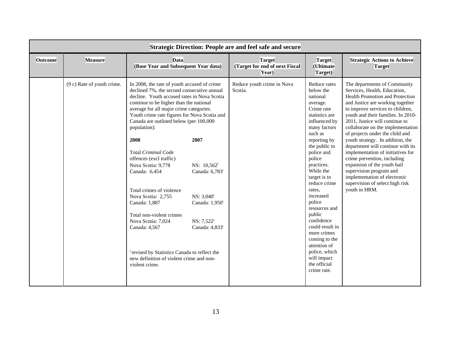| <b>Strategic Direction: People are and feel safe and secure</b> |                            |                                                                                                                                                                                                                                                                                                                                                                                                                                                                                                                                                                                                                                                                                                                  |                                                                                                                                                                      |                                                          |                                                                                                                                                                                                                                                                                                                                                                                                                                                               |                                                                                                                                                                                                                                                                                                                                                                                                                                                                                                                                                                                                                    |
|-----------------------------------------------------------------|----------------------------|------------------------------------------------------------------------------------------------------------------------------------------------------------------------------------------------------------------------------------------------------------------------------------------------------------------------------------------------------------------------------------------------------------------------------------------------------------------------------------------------------------------------------------------------------------------------------------------------------------------------------------------------------------------------------------------------------------------|----------------------------------------------------------------------------------------------------------------------------------------------------------------------|----------------------------------------------------------|---------------------------------------------------------------------------------------------------------------------------------------------------------------------------------------------------------------------------------------------------------------------------------------------------------------------------------------------------------------------------------------------------------------------------------------------------------------|--------------------------------------------------------------------------------------------------------------------------------------------------------------------------------------------------------------------------------------------------------------------------------------------------------------------------------------------------------------------------------------------------------------------------------------------------------------------------------------------------------------------------------------------------------------------------------------------------------------------|
| <b>Outcome</b>                                                  | <b>Measure</b>             | <b>Data</b><br>(Base Year and Subsequent Year data)                                                                                                                                                                                                                                                                                                                                                                                                                                                                                                                                                                                                                                                              |                                                                                                                                                                      | <b>Target</b><br>(Target for end of next Fiscal<br>Year) | <b>Target</b><br>(Ultimate<br>Target)                                                                                                                                                                                                                                                                                                                                                                                                                         | <b>Strategic Actions to Achieve</b><br><b>Target</b>                                                                                                                                                                                                                                                                                                                                                                                                                                                                                                                                                               |
|                                                                 | (9 c) Rate of youth crime. | In 2008, the rate of youth accused of crime<br>declined 7%, the second consecutive annual<br>decline. Youth accused rates in Nova Scotia<br>continue to be higher than the national<br>average for all major crime categories.<br>Youth crime rate figures for Nova Scotia and<br>Canada are outlined below (per 100,000<br>population):<br>2008<br><b>Total Criminal Code</b><br>offences (excl traffic)<br>Nova Scotia: 9,778<br>Canada: 6,454<br>Total crimes of violence<br>Nova Scotia: 2,755<br>Canada: 1,887<br>Total non-violent crimes<br>Nova Scotia: 7,024<br>Canada: 4,567<br><sup>r</sup> revised by Statistics Canada to reflect the<br>new definition of violent crime and non-<br>violent crime. | 2007<br>NS: 10,562 <sup>r</sup><br>Canada: 6,783 <sup>r</sup><br>$NS: 3,040^r$<br>Canada: 1,950 <sup>r</sup><br>NS: 7.522 <sup>r</sup><br>Canada: 4,833 <sup>r</sup> | Reduce youth crime in Nova<br>Scotia.                    | Reduce rates<br>below the<br>national<br>average.<br>Crime rate<br>statistics are<br>influenced by<br>many factors<br>such as<br>reporting by<br>the public to<br>police and<br>police<br>practices.<br>While the<br>target is to<br>reduce crime<br>rates.<br>increased<br>police<br>resources and<br>public<br>confidence<br>could result in<br>more crimes<br>coming to the<br>attention of<br>police, which<br>will impact<br>the official<br>crime rate. | The departments of Community<br>Services, Health, Education,<br>Health Promotion and Protection<br>and Justice are working together<br>to improve services to children,<br>youth and their families. In 2010-<br>2011, Justice will continue to<br>collaborate on the implementation<br>of projects under the child and<br>youth strategy. In addition, the<br>department will continue with its<br>implementation of initiatives for<br>crime prevention, including<br>expansion of the youth bail<br>supervision program and<br>implementation of electronic<br>supervision of select high risk<br>youth in HRM. |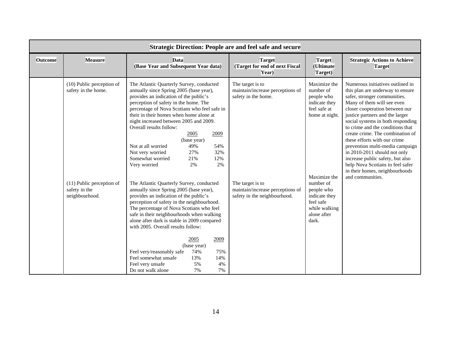|                | <b>Strategic Direction: People are and feel safe and secure</b>                                                  |                                                                                                                                                                                                                                                                                                                                                                                                                                                                                                                                                                                                                                                                                                                                                                                                                                                                                                                                                                                                                        |                                                                                                                                                                     |                                                                                                                                                                                                              |                                                                                                                                                                                                                                                                                                                                                                                                                                                                                                                                                       |  |  |
|----------------|------------------------------------------------------------------------------------------------------------------|------------------------------------------------------------------------------------------------------------------------------------------------------------------------------------------------------------------------------------------------------------------------------------------------------------------------------------------------------------------------------------------------------------------------------------------------------------------------------------------------------------------------------------------------------------------------------------------------------------------------------------------------------------------------------------------------------------------------------------------------------------------------------------------------------------------------------------------------------------------------------------------------------------------------------------------------------------------------------------------------------------------------|---------------------------------------------------------------------------------------------------------------------------------------------------------------------|--------------------------------------------------------------------------------------------------------------------------------------------------------------------------------------------------------------|-------------------------------------------------------------------------------------------------------------------------------------------------------------------------------------------------------------------------------------------------------------------------------------------------------------------------------------------------------------------------------------------------------------------------------------------------------------------------------------------------------------------------------------------------------|--|--|
| <b>Outcome</b> | <b>Measure</b>                                                                                                   | <b>Data</b><br>(Base Year and Subsequent Year data)                                                                                                                                                                                                                                                                                                                                                                                                                                                                                                                                                                                                                                                                                                                                                                                                                                                                                                                                                                    | <b>Target</b><br>(Target for end of next Fiscal<br>Year)                                                                                                            | <b>Target</b><br>(Ultimate<br>Target)                                                                                                                                                                        | <b>Strategic Actions to Achieve</b><br><b>Target</b>                                                                                                                                                                                                                                                                                                                                                                                                                                                                                                  |  |  |
|                | (10) Public perception of<br>safety in the home.<br>(11) Public perception of<br>safety in the<br>neighbourhood. | The Atlantic Quarterly Survey, conducted<br>annually since Spring 2005 (base year),<br>provides an indication of the public's<br>perception of safety in the home. The<br>percentage of Nova Scotians who feel safe in<br>their in their homes when home alone at<br>night increased between 2005 and 2009.<br>Overall results follow:<br>2005<br>2009<br>(base year)<br>Not at all worried<br>49%<br>54%<br>27%<br>32%<br>Not very worried<br>12%<br>Somewhat worried<br>21%<br>Very worried<br>2%<br>2%<br>The Atlantic Quarterly Survey, conducted<br>annually since Spring 2005 (base year),<br>provides an indication of the public's<br>perception of safety in the neighbourhood.<br>The percentage of Nova Scotians who feel<br>safe in their neighbourhoods when walking<br>alone after dark is stable in 2009 compared<br>with 2005. Overall results follow:<br>2005<br>2009<br>(base year)<br>Feel very/reasonably safe<br>74%<br>75%<br>Feel somewhat unsafe<br>13%<br>14%<br>Feel very unsafe<br>4%<br>5% | The target is to<br>maintain/increase perceptions of<br>safety in the home.<br>The target is to<br>maintain/increase perceptions of<br>safety in the neighbourhood. | Maximize the<br>number of<br>people who<br>indicate they<br>feel safe at<br>home at night.<br>Maximize the<br>number of<br>people who<br>indicate they<br>feel safe<br>while walking<br>alone after<br>dark. | Numerous initiatives outlined in<br>this plan are underway to ensure<br>safer, stronger communities.<br>Many of them will see even<br>closer cooperation between our<br>justice partners and the larger<br>social systems in both responding<br>to crime and the conditions that<br>create crime. The combination of<br>these efforts with our crime<br>prevention multi-media campaign<br>in 2010-2011 should not only<br>increase public safety, but also<br>help Nova Scotians to feel safer<br>in their homes, neighbourhoods<br>and communities. |  |  |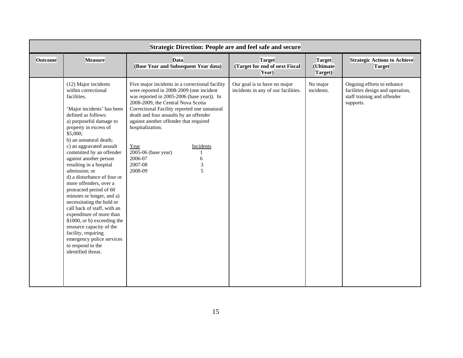|                | <b>Strategic Direction: People are and feel safe and secure</b>                                                                                                                                                                                                                                                                                                                                                                                                                                                                                                                                                                                                                                            |                                                                                                                                                                                                                                                                                                                                                                                                                                                  |                                                                     |                                       |                                                                                                            |  |  |  |
|----------------|------------------------------------------------------------------------------------------------------------------------------------------------------------------------------------------------------------------------------------------------------------------------------------------------------------------------------------------------------------------------------------------------------------------------------------------------------------------------------------------------------------------------------------------------------------------------------------------------------------------------------------------------------------------------------------------------------------|--------------------------------------------------------------------------------------------------------------------------------------------------------------------------------------------------------------------------------------------------------------------------------------------------------------------------------------------------------------------------------------------------------------------------------------------------|---------------------------------------------------------------------|---------------------------------------|------------------------------------------------------------------------------------------------------------|--|--|--|
| <b>Outcome</b> | <b>Measure</b>                                                                                                                                                                                                                                                                                                                                                                                                                                                                                                                                                                                                                                                                                             | <b>Data</b><br>(Base Year and Subsequent Year data)                                                                                                                                                                                                                                                                                                                                                                                              | <b>Target</b><br>(Target for end of next Fiscal<br>Year)            | <b>Target</b><br>(Ultimate<br>Target) | <b>Strategic Actions to Achieve</b><br><b>Target</b>                                                       |  |  |  |
|                | (12) Major incidents<br>within correctional<br>facilities.<br>'Major incidents' has been<br>defined as follows:<br>a) purposeful damage to<br>property in excess of<br>\$5,000;<br>b) an unnatural death;<br>c) an aggravated assault<br>committed by an offender<br>against another person<br>resulting in a hospital<br>admission; or<br>d) a disturbance of four or<br>more offenders, over a<br>protracted period of 60<br>minutes or longer, and a)<br>necessitating the hold or<br>call back of staff, with an<br>expenditure of more than<br>\$1000, or b) exceeding the<br>resource capacity of the<br>facility, requiring<br>emergency police services<br>to respond to the<br>identified threat. | Five major incidents in a correctional facility<br>were reported in 2008-2009 (one incident<br>was reported in 2005-2006 (base year)). In<br>2008-2009, the Central Nova Scotia<br>Correctional Facility reported one unnatural<br>death and four assaults by an offender<br>against another offender that required<br>hospitalization.<br>Incidents<br>Year<br>2005-06 (base year)<br>2006-07<br>6<br>$\mathfrak{Z}$<br>2007-08<br>5<br>2008-09 | Our goal is to have no major<br>incidents in any of our facilities. | No major<br>incidents.                | Ongoing efforts to enhance<br>facilities design and operation,<br>staff training and offender<br>supports. |  |  |  |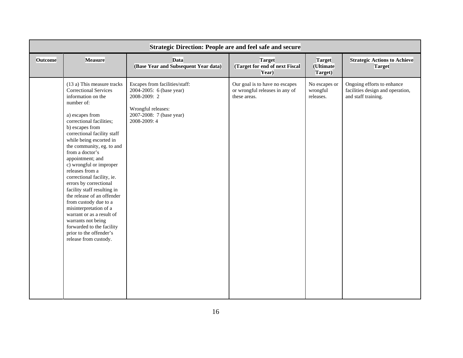|                |                                                                                                                                                                                                                                                                                                                                                                                                                                                                                                                                                                                                                                                          | <b>Strategic Direction: People are and feel safe and secure</b>                                                                              |                                                                                  |                                        |                                                                                       |
|----------------|----------------------------------------------------------------------------------------------------------------------------------------------------------------------------------------------------------------------------------------------------------------------------------------------------------------------------------------------------------------------------------------------------------------------------------------------------------------------------------------------------------------------------------------------------------------------------------------------------------------------------------------------------------|----------------------------------------------------------------------------------------------------------------------------------------------|----------------------------------------------------------------------------------|----------------------------------------|---------------------------------------------------------------------------------------|
| <b>Outcome</b> | <b>Measure</b>                                                                                                                                                                                                                                                                                                                                                                                                                                                                                                                                                                                                                                           | <b>Data</b><br>(Base Year and Subsequent Year data)                                                                                          | <b>Target</b><br>(Target for end of next Fiscal<br>Year)                         | <b>Target</b><br>(Ultimate<br>Target)  | <b>Strategic Actions to Achieve</b><br><b>Target</b>                                  |
|                | (13 a) This measure tracks<br><b>Correctional Services</b><br>information on the<br>number of:<br>a) escapes from<br>correctional facilities;<br>b) escapes from<br>correctional facility staff<br>while being escorted in<br>the community, eg. to and<br>from a doctor's<br>appointment; and<br>c) wrongful or improper<br>releases from a<br>correctional facility, ie.<br>errors by correctional<br>facility staff resulting in<br>the release of an offender<br>from custody due to a<br>misinterpretation of a<br>warrant or as a result of<br>warrants not being<br>forwarded to the facility<br>prior to the offender's<br>release from custody. | Escapes from facilities/staff:<br>2004-2005: 6 (base year)<br>2008-2009: 2<br>Wrongful releases:<br>2007-2008: 7 (base year)<br>2008-2009: 4 | Our goal is to have no escapes<br>or wrongful releases in any of<br>these areas. | No escapes or<br>wrongful<br>releases. | Ongoing efforts to enhance<br>facilities design and operation,<br>and staff training. |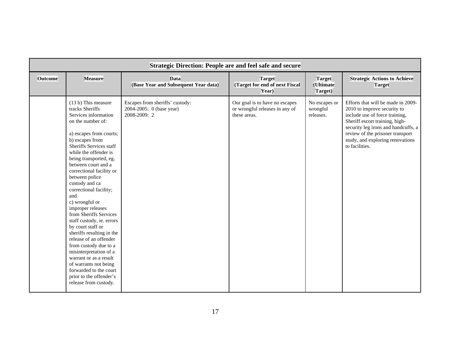|                | <b>Strategic Direction: People are and feel safe and secure</b>                                                                                                                                                                                                                                                                                                                                                                                                                                                                                                                                                                                                                                       |                                                                             |                                                                                  |                                        |                                                                                                                                                                                                                                                                        |  |  |  |
|----------------|-------------------------------------------------------------------------------------------------------------------------------------------------------------------------------------------------------------------------------------------------------------------------------------------------------------------------------------------------------------------------------------------------------------------------------------------------------------------------------------------------------------------------------------------------------------------------------------------------------------------------------------------------------------------------------------------------------|-----------------------------------------------------------------------------|----------------------------------------------------------------------------------|----------------------------------------|------------------------------------------------------------------------------------------------------------------------------------------------------------------------------------------------------------------------------------------------------------------------|--|--|--|
| <b>Outcome</b> | <b>Measure</b>                                                                                                                                                                                                                                                                                                                                                                                                                                                                                                                                                                                                                                                                                        | <b>Data</b><br>(Base Year and Subsequent Year data)                         | <b>Target</b><br>(Target for end of next Fiscal<br>Year)                         | <b>Target</b><br>(Ultimate<br>Target)  | <b>Strategic Actions to Achieve</b><br><b>Target</b>                                                                                                                                                                                                                   |  |  |  |
|                | (13 b) This measure<br>tracks Sheriffs<br>Services information<br>on the number of:<br>a) escapes from courts;<br>b) escapes from<br>Sheriffs Services staff<br>while the offender is<br>being transported, eg.<br>between court and a<br>correctional facility or<br>between police<br>custody and ca<br>correctional facility;<br>and<br>c) wrongful or<br>improper releases<br>from Sheriffs Services<br>staff custody, ie. errors<br>by court staff or<br>sheriffs resulting in the<br>release of an offender<br>from custody due to a<br>misinterpretation of a<br>warrant or as a result<br>of warrants not being<br>forwarded to the court<br>prior to the offender's<br>release from custody. | Escapes from sheriffs' custody:<br>2004-2005: 0 (base year)<br>2008-2009: 2 | Our goal is to have no escapes<br>or wrongful releases in any of<br>these areas. | No escapes or<br>wrongful<br>releases. | Efforts that will be made in 2009-<br>2010 to improve security to<br>include use of force training,<br>Sheriff escort training, high-<br>security leg irons and handcuffs, a<br>review of the prisoner transport<br>study, and exploring renovations<br>to facilities. |  |  |  |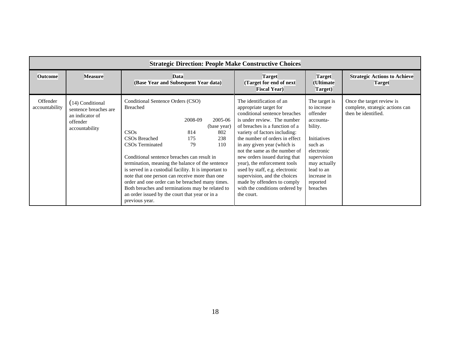|                            | <b>Strategic Direction: People Make Constructive Choices</b>                               |                                                                                                                                                                                                                                                                                                                                                                                                                                                                                                                   |                             |                                                                 |                                                                                                                                                                                                                                                                                                                                                                                                                                                                                                           |                                                                                                                                                                                              |                                                                                     |  |  |
|----------------------------|--------------------------------------------------------------------------------------------|-------------------------------------------------------------------------------------------------------------------------------------------------------------------------------------------------------------------------------------------------------------------------------------------------------------------------------------------------------------------------------------------------------------------------------------------------------------------------------------------------------------------|-----------------------------|-----------------------------------------------------------------|-----------------------------------------------------------------------------------------------------------------------------------------------------------------------------------------------------------------------------------------------------------------------------------------------------------------------------------------------------------------------------------------------------------------------------------------------------------------------------------------------------------|----------------------------------------------------------------------------------------------------------------------------------------------------------------------------------------------|-------------------------------------------------------------------------------------|--|--|
| <b>Outcome</b>             | <b>Measure</b>                                                                             | <b>Data</b><br>(Base Year and Subsequent Year data)                                                                                                                                                                                                                                                                                                                                                                                                                                                               |                             | <b>Target</b><br>(Target for end of next<br><b>Fiscal Year)</b> | <b>Target</b><br>(Ultimate)<br>Target)                                                                                                                                                                                                                                                                                                                                                                                                                                                                    | <b>Strategic Actions to Achieve</b><br><b>Target</b>                                                                                                                                         |                                                                                     |  |  |
| Offender<br>accountability | (14) Conditional<br>sentence breaches are<br>an indicator of<br>offender<br>accountability | Conditional Sentence Orders (CSO)<br><b>Breached</b><br>CSOs<br>CSO <sub>s</sub> Breached<br>CSO <sub>s</sub> Terminated<br>Conditional sentence breaches can result in<br>termination, meaning the balance of the sentence<br>is served in a custodial facility. It is important to<br>note that one person can receive more than one<br>order and one order can be breached many times.<br>Both breaches and terminations may be related to<br>an order issued by the court that year or in a<br>previous year. | 2008-09<br>814<br>175<br>79 | 2005-06<br>(base year)<br>802<br>238<br>110                     | The identification of an<br>appropriate target for<br>conditional sentence breaches<br>is under review. The number<br>of breaches is a function of a<br>variety of factors including:<br>the number of orders in effect<br>in any given year (which is<br>not the same as the number of<br>new orders issued during that<br>year), the enforcement tools<br>used by staff, e.g. electronic<br>supervision, and the choices<br>made by offenders to comply<br>with the conditions ordered by<br>the court. | The target is<br>to increase<br>offender<br>accounta-<br>bility.<br>Initiatives<br>such as<br>electronic<br>supervision<br>may actually<br>lead to an<br>increase in<br>reported<br>breaches | Once the target review is<br>complete, strategic actions can<br>then be identified. |  |  |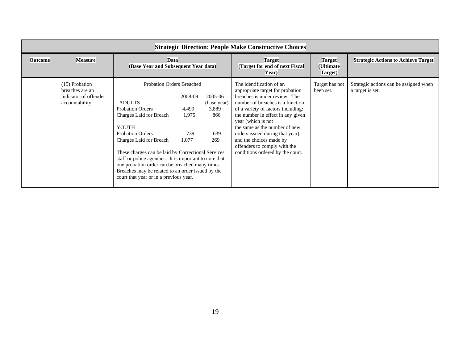|                | <b>Strategic Direction: People Make Constructive Choices</b>                  |                                                                                                                                                                                                                                                                                                                                                                                                                                                 |                                           |                                                          |                                                                                                                                                                                                                                                                                                                                                                                                        |                                            |                                                            |  |  |
|----------------|-------------------------------------------------------------------------------|-------------------------------------------------------------------------------------------------------------------------------------------------------------------------------------------------------------------------------------------------------------------------------------------------------------------------------------------------------------------------------------------------------------------------------------------------|-------------------------------------------|----------------------------------------------------------|--------------------------------------------------------------------------------------------------------------------------------------------------------------------------------------------------------------------------------------------------------------------------------------------------------------------------------------------------------------------------------------------------------|--------------------------------------------|------------------------------------------------------------|--|--|
| <b>Outcome</b> | <b>Measure</b>                                                                | Data<br>(Base Year and Subsequent Year data)                                                                                                                                                                                                                                                                                                                                                                                                    |                                           | <b>Target</b><br>(Target for end of next Fiscal<br>Year) | <b>Target</b><br>(Ultimate<br>Target)                                                                                                                                                                                                                                                                                                                                                                  | <b>Strategic Actions to Achieve Target</b> |                                                            |  |  |
|                | (15) Probation<br>breaches are an<br>indicator of offender<br>accountability. | <b>Probation Orders Breached</b><br><b>ADULTS</b><br><b>Probation Orders</b><br>Charges Laid for Breach<br><b>YOUTH</b><br><b>Probation Orders</b><br>Charges Laid for Breach<br>These charges can be laid by Correctional Services<br>staff or police agencies. It is important to note that<br>one probation order can be breached many times.<br>Breaches may be related to an order issued by the<br>court that year or in a previous year. | 2008-09<br>4,499<br>1,975<br>739<br>1,077 | 2005-06<br>(base year)<br>3,889<br>866<br>639<br>269     | The identification of an<br>appropriate target for probation<br>breaches is under review. The<br>number of breaches is a function<br>of a variety of factors including:<br>the number in effect in any given<br>year (which is not<br>the same as the number of new<br>orders issued during that year),<br>and the choices made by<br>offenders to comply with the<br>conditions ordered by the court. | Target has not<br>been set.                | Strategic actions can be assigned when<br>a target is set. |  |  |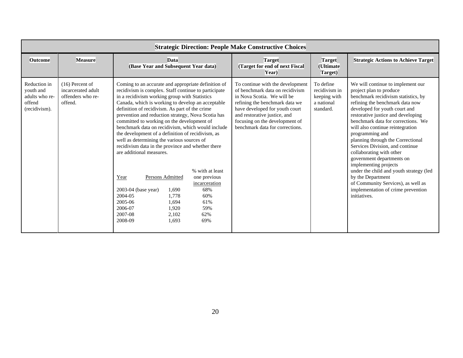|                                                                        |                                                                         |                                                                                                                                                                                                                                                                                                                                                                                                                                                                                                                                                                                                                                                                                                                                                                                  |                                                                                            | <b>Strategic Direction: People Make Constructive Choices</b>                                                                                                                                                                                                               |                                                                       |                                                                                                                                                                                                                                                                                                                                                                                                                                                                                                                                                                                                                                  |
|------------------------------------------------------------------------|-------------------------------------------------------------------------|----------------------------------------------------------------------------------------------------------------------------------------------------------------------------------------------------------------------------------------------------------------------------------------------------------------------------------------------------------------------------------------------------------------------------------------------------------------------------------------------------------------------------------------------------------------------------------------------------------------------------------------------------------------------------------------------------------------------------------------------------------------------------------|--------------------------------------------------------------------------------------------|----------------------------------------------------------------------------------------------------------------------------------------------------------------------------------------------------------------------------------------------------------------------------|-----------------------------------------------------------------------|----------------------------------------------------------------------------------------------------------------------------------------------------------------------------------------------------------------------------------------------------------------------------------------------------------------------------------------------------------------------------------------------------------------------------------------------------------------------------------------------------------------------------------------------------------------------------------------------------------------------------------|
| <b>Outcome</b>                                                         | <b>Measure</b>                                                          | <b>Data</b><br>(Base Year and Subsequent Year data)                                                                                                                                                                                                                                                                                                                                                                                                                                                                                                                                                                                                                                                                                                                              |                                                                                            | <b>Target</b><br>(Target for end of next Fiscal<br>Year)                                                                                                                                                                                                                   | <b>Target</b><br>(Ultimate<br>Target)                                 | <b>Strategic Actions to Achieve Target</b>                                                                                                                                                                                                                                                                                                                                                                                                                                                                                                                                                                                       |
| Reduction in<br>youth and<br>adults who re-<br>offend<br>(recidivism). | $(16)$ Percent of<br>incarcerated adult<br>offenders who re-<br>offend. | Coming to an accurate and appropriate definition of<br>recidivism is complex. Staff continue to participate<br>in a recidivism working group with Statistics<br>Canada, which is working to develop an acceptable<br>definition of recidivism. As part of the crime<br>prevention and reduction strategy, Nova Scotia has<br>committed to working on the development of<br>benchmark data on recidivism, which would include<br>the development of a definition of recidivism, as<br>well as determining the various sources of<br>recidivism data in the province and whether there<br>are additional measures.<br>Persons Admitted<br>Year<br>2003-04 (base year)<br>1.690<br>2004-05<br>1,778<br>2005-06<br>1,694<br>2006-07<br>1,920<br>2007-08<br>2,102<br>2008-09<br>1,693 | % with at least<br>one previous<br>incarceration<br>68%<br>60%<br>61%<br>59%<br>62%<br>69% | To continue with the development<br>of benchmark data on recidivism<br>in Nova Scotia. We will be<br>refining the benchmark data we<br>have developed for youth court<br>and restorative justice, and<br>focusing on the development of<br>benchmark data for corrections. | To define<br>recidivism in<br>keeping with<br>a national<br>standard. | We will continue to implement our<br>project plan to produce<br>benchmark recidivism statistics, by<br>refining the benchmark data now<br>developed for youth court and<br>restorative justice and developing<br>benchmark data for corrections. We<br>will also continue reintegration<br>programming and<br>planning through the Correctional<br>Services Division, and continue<br>collaborating with other<br>government departments on<br>implementing projects<br>under the child and youth strategy (led<br>by the Department<br>of Community Services), as well as<br>implementation of crime prevention<br>initiatives. |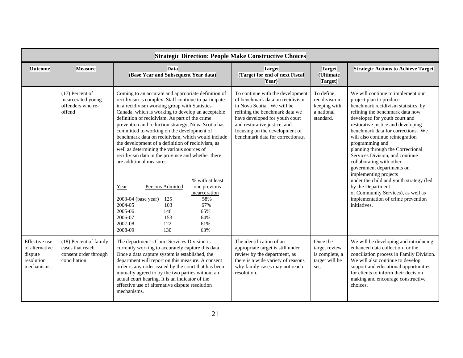|                                                                         |                                                                                      | <b>Strategic Direction: People Make Constructive Choices</b>                                                                                                                                                                                                                                                                                                                                                                                                                                                                                                                                                                                                                                                                                                                                                                                                       |                                                                                                                                                                                                                                                                             |                                                                       |                                                                                                                                                                                                                                                                                                                                                                                                                                                                                                                                                                                                                                  |
|-------------------------------------------------------------------------|--------------------------------------------------------------------------------------|--------------------------------------------------------------------------------------------------------------------------------------------------------------------------------------------------------------------------------------------------------------------------------------------------------------------------------------------------------------------------------------------------------------------------------------------------------------------------------------------------------------------------------------------------------------------------------------------------------------------------------------------------------------------------------------------------------------------------------------------------------------------------------------------------------------------------------------------------------------------|-----------------------------------------------------------------------------------------------------------------------------------------------------------------------------------------------------------------------------------------------------------------------------|-----------------------------------------------------------------------|----------------------------------------------------------------------------------------------------------------------------------------------------------------------------------------------------------------------------------------------------------------------------------------------------------------------------------------------------------------------------------------------------------------------------------------------------------------------------------------------------------------------------------------------------------------------------------------------------------------------------------|
| <b>Outcome</b>                                                          | <b>Measure</b>                                                                       | <b>Data</b><br>(Base Year and Subsequent Year data)                                                                                                                                                                                                                                                                                                                                                                                                                                                                                                                                                                                                                                                                                                                                                                                                                | <b>Target</b><br>(Target for end of next Fiscal<br>Year)                                                                                                                                                                                                                    | <b>Target</b><br>(Ultimate<br>Target)                                 | <b>Strategic Actions to Achieve Target</b>                                                                                                                                                                                                                                                                                                                                                                                                                                                                                                                                                                                       |
|                                                                         | $(17)$ Percent of<br>incarcerated young<br>offenders who re-<br>offend               | Coming to an accurate and appropriate definition of<br>recidivism is complex. Staff continue to participate<br>in a recidivism working group with Statistics<br>Canada, which is working to develop an acceptable<br>definition of recidivism. As part of the crime<br>prevention and reduction strategy, Nova Scotia has<br>committed to working on the development of<br>benchmark data on recidivism, which would include<br>the development of a definition of recidivism, as<br>well as determining the various sources of<br>recidivism data in the province and whether there<br>are additional measures.<br>% with at least<br>Persons Admitted<br>one previous<br>Year<br>incarceration<br>2003-04 (base year)<br>58%<br>125<br>2004-05<br>103<br>67%<br>2005-06<br>146<br>65%<br>2006-07<br>153<br>64%<br>2007-08<br>122<br>61%<br>130<br>2008-09<br>63% | To continue with the development<br>of benchmark data on recidivism<br>in Nova Scotia. We will be<br>refining the benchmark data we<br>have developed for youth court<br>and restorative justice, and<br>focusing on the development of<br>benchmark data for corrections.n | To define<br>recidivism in<br>keeping with<br>a national<br>standard. | We will continue to implement our<br>project plan to produce<br>benchmark recidivism statistics, by<br>refining the benchmark data now<br>developed for youth court and<br>restorative justice and developing<br>benchmark data for corrections. We<br>will also continue reintegration<br>programming and<br>planning through the Correctional<br>Services Division, and continue<br>collaborating with other<br>government departments on<br>implementing projects<br>under the child and youth strategy (led<br>by the Department<br>of Community Services), as well as<br>implementation of crime prevention<br>initiatives. |
| Effective use<br>of alternative<br>dispute<br>resolution<br>mechanisms. | (18) Percent of family<br>cases that reach<br>consent order through<br>conciliation. | The department's Court Services Division is<br>currently working to accurately capture this data.<br>Once a data capture system is established, the<br>department will report on this measure. A consent<br>order is any order issued by the court that has been<br>mutually agreed to by the two parties without an<br>actual court hearing. It is an indicator of the<br>effective use of alternative dispute resolution<br>mechanisms.                                                                                                                                                                                                                                                                                                                                                                                                                          | The identification of an<br>appropriate target is still under<br>review by the department, as<br>there is a wide variety of reasons<br>why family cases may not reach<br>resolution.                                                                                        | Once the<br>target review<br>is complete, a<br>target will be<br>set. | We will be developing and introducing<br>enhanced data collection for the<br>conciliation process in Family Division.<br>We will also continue to develop<br>support and educational opportunities<br>for clients to inform their decision<br>making and encourage constructive<br>choices.                                                                                                                                                                                                                                                                                                                                      |